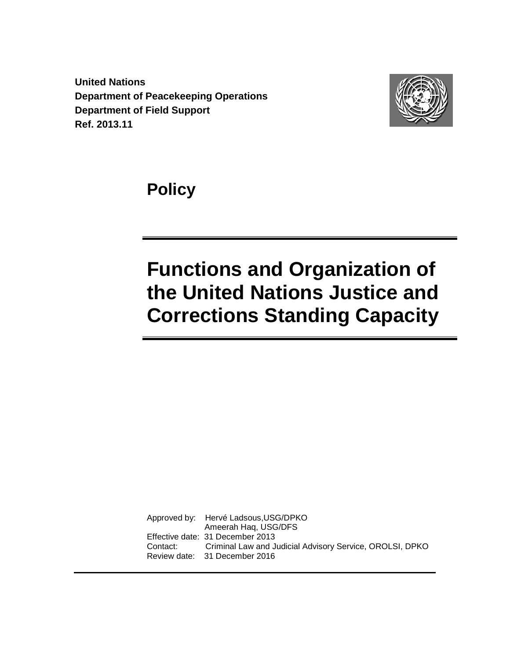**United Nations Department of Peacekeeping Operations Department of Field Support Ref. 2013.11**



**Policy**

# **Functions and Organization of the United Nations Justice and Corrections Standing Capacity**

Approved by: Hervé Ladsous,USG/DPKO Ameerah Haq, USG/DFS Effective date: 31 December 2013 Contact: Criminal Law and Judicial Advisory Service, OROLSI, DPKO Review date: 31 December 2016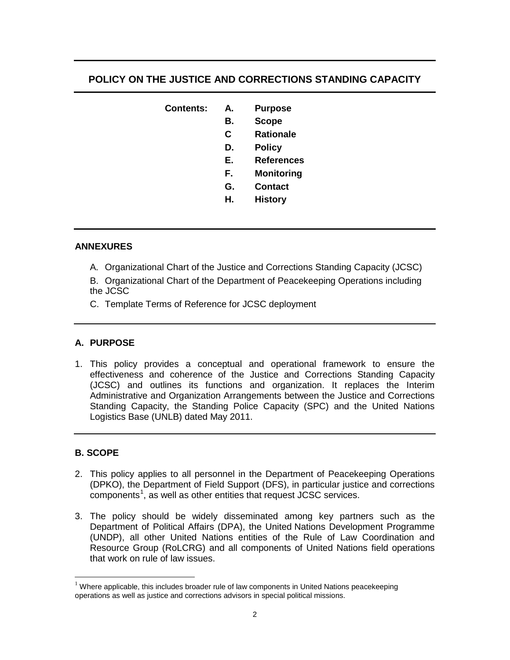# **POLICY ON THE JUSTICE AND CORRECTIONS STANDING CAPACITY**

| <b>Contents:</b> | А. | <b>Purpose</b>    |
|------------------|----|-------------------|
|                  | В. | <b>Scope</b>      |
|                  | C  | <b>Rationale</b>  |
|                  | D. | <b>Policy</b>     |
|                  | Е. | <b>References</b> |
|                  | F. | Monitoring        |
|                  | G. | <b>Contact</b>    |
|                  | Н. | <b>History</b>    |

#### **ANNEXURES**

A. Organizational Chart of the Justice and Corrections Standing Capacity (JCSC)

B. Organizational Chart of the Department of Peacekeeping Operations including the JCSC

C. Template Terms of Reference for JCSC deployment

#### **A. PURPOSE**

1. This policy provides a conceptual and operational framework to ensure the effectiveness and coherence of the Justice and Corrections Standing Capacity (JCSC) and outlines its functions and organization. It replaces the Interim Administrative and Organization Arrangements between the Justice and Corrections Standing Capacity, the Standing Police Capacity (SPC) and the United Nations Logistics Base (UNLB) dated May 2011.

#### **B. SCOPE**

- 2. This policy applies to all personnel in the Department of Peacekeeping Operations (DPKO), the Department of Field Support (DFS), in particular justice and corrections components<sup>[1](#page-1-0)</sup>, as well as other entities that request JCSC services.
- 3. The policy should be widely disseminated among key partners such as the Department of Political Affairs (DPA), the United Nations Development Programme (UNDP), all other United Nations entities of the Rule of Law Coordination and Resource Group (RoLCRG) and all components of United Nations field operations that work on rule of law issues.

<span id="page-1-0"></span> $1$  Where applicable, this includes broader rule of law components in United Nations peacekeeping operations as well as justice and corrections advisors in special political missions.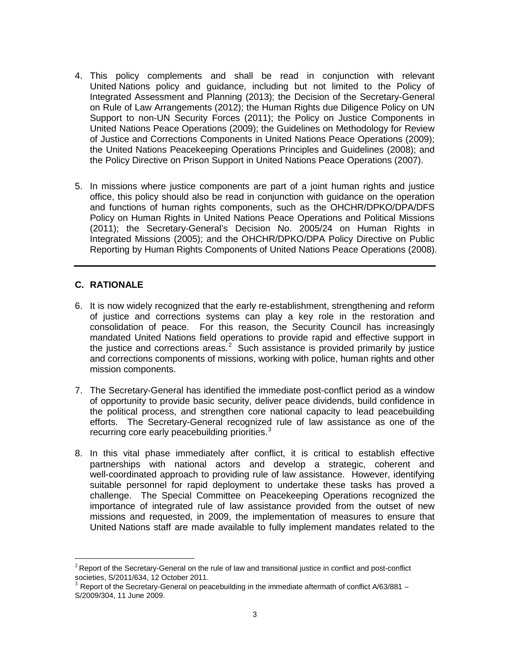- 4. This policy complements and shall be read in conjunction with relevant United Nations policy and guidance, including but not limited to the Policy of Integrated Assessment and Planning (2013); the Decision of the Secretary-General on Rule of Law Arrangements (2012); the Human Rights due Diligence Policy on UN Support to non-UN Security Forces (2011); the Policy on Justice Components in United Nations Peace Operations (2009); the Guidelines on Methodology for Review of Justice and Corrections Components in United Nations Peace Operations (2009); the United Nations Peacekeeping Operations Principles and Guidelines (2008); and the Policy Directive on Prison Support in United Nations Peace Operations (2007).
- 5. In missions where justice components are part of a joint human rights and justice office, this policy should also be read in conjunction with guidance on the operation and functions of human rights components, such as the OHCHR/DPKO/DPA/DFS Policy on Human Rights in United Nations Peace Operations and Political Missions (2011); the Secretary-General's Decision No. 2005/24 on Human Rights in Integrated Missions (2005); and the OHCHR/DPKO/DPA Policy Directive on Public Reporting by Human Rights Components of United Nations Peace Operations (2008).

#### **C. RATIONALE**

- 6. It is now widely recognized that the early re-establishment, strengthening and reform of justice and corrections systems can play a key role in the restoration and consolidation of peace. For this reason, the Security Council has increasingly mandated United Nations field operations to provide rapid and effective support in the justice and corrections areas.<sup>[2](#page-2-0)</sup> Such assistance is provided primarily by justice and corrections components of missions, working with police, human rights and other mission components.
- 7. The Secretary-General has identified the immediate post-conflict period as a window of opportunity to provide basic security, deliver peace dividends, build confidence in the political process, and strengthen core national capacity to lead peacebuilding efforts. The Secretary-General recognized rule of law assistance as one of the recurring core early peacebuilding priorities.<sup>[3](#page-2-1)</sup>
- 8. In this vital phase immediately after conflict, it is critical to establish effective partnerships with national actors and develop a strategic, coherent and well-coordinated approach to providing rule of law assistance. However, identifying suitable personnel for rapid deployment to undertake these tasks has proved a challenge. The Special Committee on Peacekeeping Operations recognized the importance of integrated rule of law assistance provided from the outset of new missions and requested, in 2009, the implementation of measures to ensure that United Nations staff are made available to fully implement mandates related to the

<span id="page-2-0"></span> $2^2$  Report of the Secretary-General on the rule of law and transitional justice in conflict and post-conflict societies, S/2011/634, 12 October 2011.

<span id="page-2-1"></span>Report of the Secretary-General on peacebuilding in the immediate aftermath of conflict A/63/881 – S/2009/304, 11 June 2009.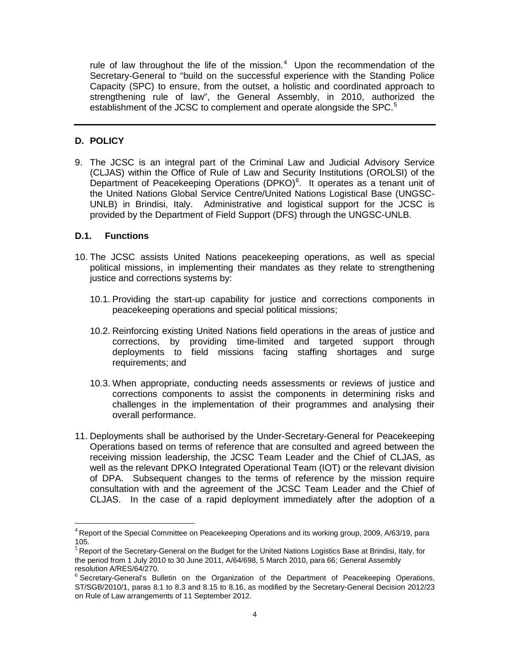rule of law throughout the life of the mission. $4$  Upon the recommendation of the Secretary-General to "build on the successful experience with the Standing Police Capacity (SPC) to ensure, from the outset, a holistic and coordinated approach to strengthening rule of law", the General Assembly, in 2010, authorized the establishment of the JCSC to complement and operate alongside the SPC.<sup>[5](#page-3-1)</sup>

#### **D. POLICY**

9. The JCSC is an integral part of the Criminal Law and Judicial Advisory Service (CLJAS) within the Office of Rule of Law and Security Institutions (OROLSI) of the Department of Peacekeeping Operations (DPKO) $<sup>6</sup>$  $<sup>6</sup>$  $<sup>6</sup>$ . It operates as a tenant unit of</sup> the United Nations Global Service Centre/United Nations Logistical Base (UNGSC-UNLB) in Brindisi, Italy. Administrative and logistical support for the JCSC is provided by the Department of Field Support (DFS) through the UNGSC-UNLB.

#### **D.1. Functions**

- 10. The JCSC assists United Nations peacekeeping operations, as well as special political missions, in implementing their mandates as they relate to strengthening justice and corrections systems by:
	- 10.1. Providing the start-up capability for justice and corrections components in peacekeeping operations and special political missions;
	- 10.2. Reinforcing existing United Nations field operations in the areas of justice and corrections, by providing time-limited and targeted support through deployments to field missions facing staffing shortages and surge requirements; and
	- 10.3. When appropriate, conducting needs assessments or reviews of justice and corrections components to assist the components in determining risks and challenges in the implementation of their programmes and analysing their overall performance.
- 11. Deployments shall be authorised by the Under-Secretary-General for Peacekeeping Operations based on terms of reference that are consulted and agreed between the receiving mission leadership, the JCSC Team Leader and the Chief of CLJAS, as well as the relevant DPKO Integrated Operational Team (IOT) or the relevant division of DPA. Subsequent changes to the terms of reference by the mission require consultation with and the agreement of the JCSC Team Leader and the Chief of CLJAS. In the case of a rapid deployment immediately after the adoption of a

<span id="page-3-0"></span> $4$  Report of the Special Committee on Peacekeeping Operations and its working group, 2009, A/63/19, para 105.

<span id="page-3-1"></span><sup>&</sup>lt;sup>5</sup> Report of the Secretary-General on the Budget for the United Nations Logistics Base at Brindisi, Italy, for the period from 1 July 2010 to 30 June 2011, A/64/698, 5 March 2010, para 66; General Assembly resolution A/RES/64/270.

<span id="page-3-2"></span> $6$  Secretary-General's Bulletin on the Organization of the Department of Peacekeeping Operations, ST/SGB/2010/1, paras 8.1 to 8.3 and 8.15 to 8.16, as modified by the Secretary-General Decision 2012/23 on Rule of Law arrangements of 11 September 2012.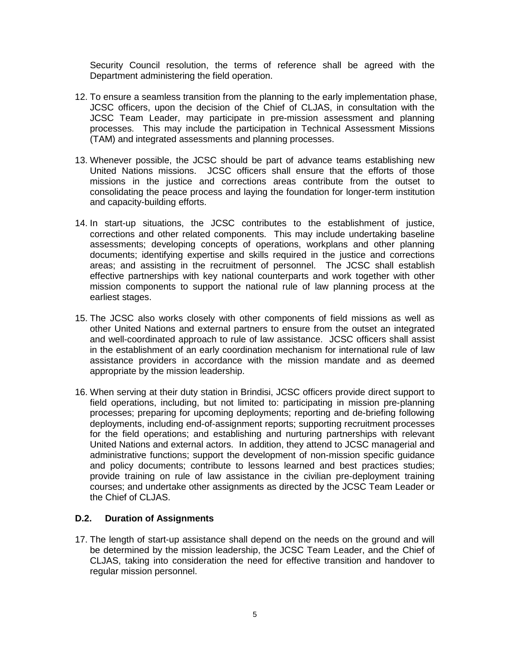Security Council resolution, the terms of reference shall be agreed with the Department administering the field operation.

- 12. To ensure a seamless transition from the planning to the early implementation phase, JCSC officers, upon the decision of the Chief of CLJAS, in consultation with the JCSC Team Leader, may participate in pre-mission assessment and planning processes. This may include the participation in Technical Assessment Missions (TAM) and integrated assessments and planning processes.
- 13. Whenever possible, the JCSC should be part of advance teams establishing new United Nations missions. JCSC officers shall ensure that the efforts of those missions in the justice and corrections areas contribute from the outset to consolidating the peace process and laying the foundation for longer-term institution and capacity-building efforts.
- 14. In start-up situations, the JCSC contributes to the establishment of justice, corrections and other related components. This may include undertaking baseline assessments; developing concepts of operations, workplans and other planning documents; identifying expertise and skills required in the justice and corrections areas; and assisting in the recruitment of personnel. The JCSC shall establish effective partnerships with key national counterparts and work together with other mission components to support the national rule of law planning process at the earliest stages.
- 15. The JCSC also works closely with other components of field missions as well as other United Nations and external partners to ensure from the outset an integrated and well-coordinated approach to rule of law assistance. JCSC officers shall assist in the establishment of an early coordination mechanism for international rule of law assistance providers in accordance with the mission mandate and as deemed appropriate by the mission leadership.
- 16. When serving at their duty station in Brindisi, JCSC officers provide direct support to field operations, including, but not limited to: participating in mission pre-planning processes; preparing for upcoming deployments; reporting and de-briefing following deployments, including end-of-assignment reports; supporting recruitment processes for the field operations; and establishing and nurturing partnerships with relevant United Nations and external actors. In addition, they attend to JCSC managerial and administrative functions; support the development of non-mission specific guidance and policy documents; contribute to lessons learned and best practices studies; provide training on rule of law assistance in the civilian pre-deployment training courses; and undertake other assignments as directed by the JCSC Team Leader or the Chief of CLJAS.

#### **D.2. Duration of Assignments**

17. The length of start-up assistance shall depend on the needs on the ground and will be determined by the mission leadership, the JCSC Team Leader, and the Chief of CLJAS, taking into consideration the need for effective transition and handover to regular mission personnel.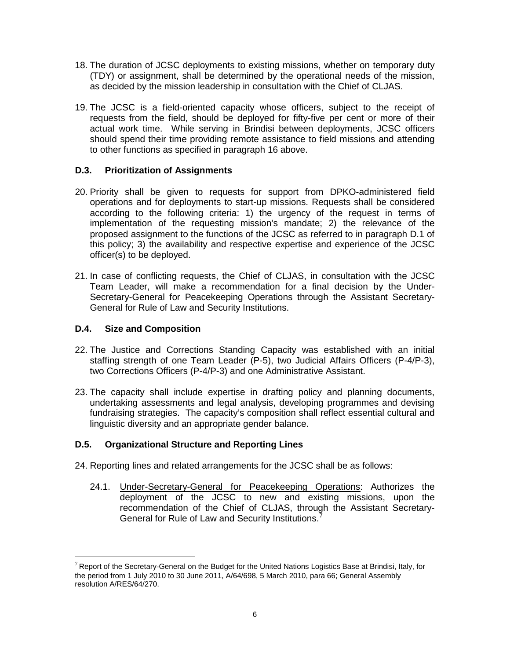- 18. The duration of JCSC deployments to existing missions, whether on temporary duty (TDY) or assignment, shall be determined by the operational needs of the mission, as decided by the mission leadership in consultation with the Chief of CLJAS.
- 19. The JCSC is a field-oriented capacity whose officers, subject to the receipt of requests from the field, should be deployed for fifty-five per cent or more of their actual work time. While serving in Brindisi between deployments, JCSC officers should spend their time providing remote assistance to field missions and attending to other functions as specified in paragraph 16 above.

# **D.3. Prioritization of Assignments**

- 20. Priority shall be given to requests for support from DPKO-administered field operations and for deployments to start-up missions. Requests shall be considered according to the following criteria: 1) the urgency of the request in terms of implementation of the requesting mission's mandate; 2) the relevance of the proposed assignment to the functions of the JCSC as referred to in paragraph D.1 of this policy; 3) the availability and respective expertise and experience of the JCSC officer(s) to be deployed.
- 21. In case of conflicting requests, the Chief of CLJAS, in consultation with the JCSC Team Leader, will make a recommendation for a final decision by the Under-Secretary-General for Peacekeeping Operations through the Assistant Secretary-General for Rule of Law and Security Institutions.

# **D.4. Size and Composition**

- 22. The Justice and Corrections Standing Capacity was established with an initial staffing strength of one Team Leader (P-5), two Judicial Affairs Officers (P-4/P-3), two Corrections Officers (P-4/P-3) and one Administrative Assistant.
- 23. The capacity shall include expertise in drafting policy and planning documents, undertaking assessments and legal analysis, developing programmes and devising fundraising strategies. The capacity's composition shall reflect essential cultural and linguistic diversity and an appropriate gender balance.

#### **D.5. Organizational Structure and Reporting Lines**

- 24. Reporting lines and related arrangements for the JCSC shall be as follows:
	- 24.1. Under-Secretary-General for Peacekeeping Operations: Authorizes the deployment of the JCSC to new and existing missions, upon the recommendation of the Chief of CLJAS, through the Assistant Secretary-General for Rule of Law and Security Institutions.<sup>[7](#page-5-0)</sup>

<span id="page-5-0"></span> $7$  Report of the Secretary-General on the Budget for the United Nations Logistics Base at Brindisi, Italy, for the period from 1 July 2010 to 30 June 2011, A/64/698, 5 March 2010, para 66; General Assembly resolution A/RES/64/270.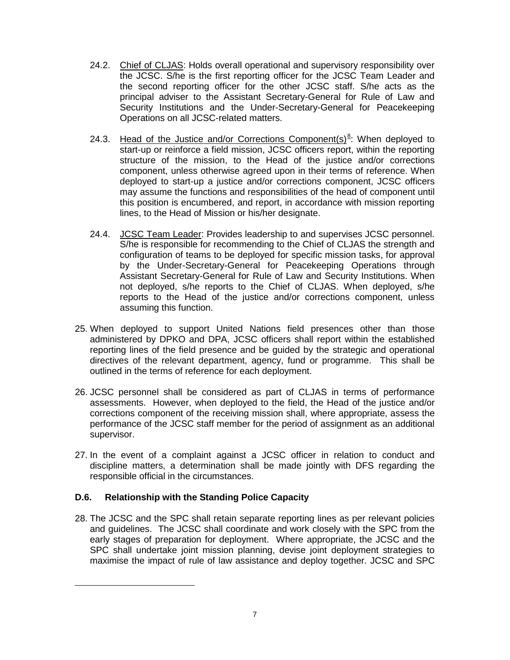- 24.2. Chief of CLJAS: Holds overall operational and supervisory responsibility over the JCSC. S/he is the first reporting officer for the JCSC Team Leader and the second reporting officer for the other JCSC staff. S/he acts as the principal adviser to the Assistant Secretary-General for Rule of Law and Security Institutions and the Under-Secretary-General for Peacekeeping Operations on all JCSC-related matters.
- 24.3. Head of the Justice and/or Corrections Component(s)<sup>[8](#page-6-0)</sup>: When deployed to start-up or reinforce a field mission, JCSC officers report, within the reporting structure of the mission, to the Head of the justice and/or corrections component, unless otherwise agreed upon in their terms of reference. When deployed to start-up a justice and/or corrections component, JCSC officers may assume the functions and responsibilities of the head of component until this position is encumbered, and report, in accordance with mission reporting lines, to the Head of Mission or his/her designate.
- 24.4. JCSC Team Leader: Provides leadership to and supervises JCSC personnel. S/he is responsible for recommending to the Chief of CLJAS the strength and configuration of teams to be deployed for specific mission tasks, for approval by the Under-Secretary-General for Peacekeeping Operations through Assistant Secretary-General for Rule of Law and Security Institutions. When not deployed, s/he reports to the Chief of CLJAS. When deployed, s/he reports to the Head of the justice and/or corrections component, unless assuming this function.
- 25. When deployed to support United Nations field presences other than those administered by DPKO and DPA, JCSC officers shall report within the established reporting lines of the field presence and be guided by the strategic and operational directives of the relevant department, agency, fund or programme. This shall be outlined in the terms of reference for each deployment.
- 26. JCSC personnel shall be considered as part of CLJAS in terms of performance assessments. However, when deployed to the field, the Head of the justice and/or corrections component of the receiving mission shall, where appropriate, assess the performance of the JCSC staff member for the period of assignment as an additional supervisor.
- 27. In the event of a complaint against a JCSC officer in relation to conduct and discipline matters, a determination shall be made jointly with DFS regarding the responsible official in the circumstances.

#### **D.6. Relationship with the Standing Police Capacity**

<span id="page-6-0"></span> $\overline{a}$ 

28. The JCSC and the SPC shall retain separate reporting lines as per relevant policies and guidelines. The JCSC shall coordinate and work closely with the SPC from the early stages of preparation for deployment. Where appropriate, the JCSC and the SPC shall undertake joint mission planning, devise joint deployment strategies to maximise the impact of rule of law assistance and deploy together. JCSC and SPC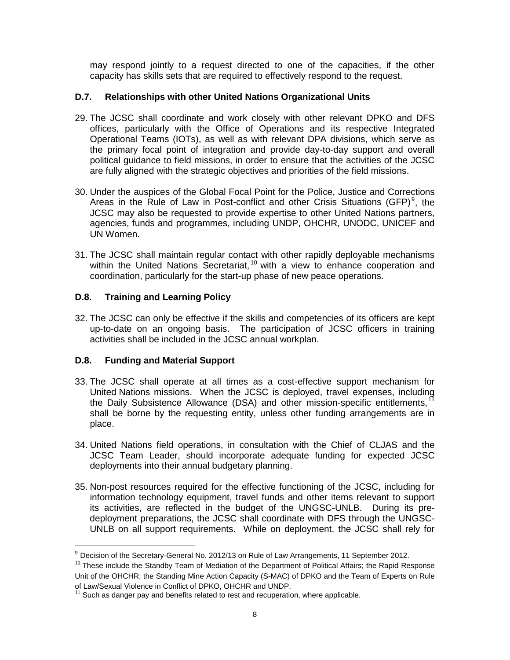may respond jointly to a request directed to one of the capacities, if the other capacity has skills sets that are required to effectively respond to the request.

#### **D.7. Relationships with other United Nations Organizational Units**

- 29. The JCSC shall coordinate and work closely with other relevant DPKO and DFS offices, particularly with the Office of Operations and its respective Integrated Operational Teams (IOTs), as well as with relevant DPA divisions, which serve as the primary focal point of integration and provide day-to-day support and overall political guidance to field missions, in order to ensure that the activities of the JCSC are fully aligned with the strategic objectives and priorities of the field missions.
- 30. Under the auspices of the Global Focal Point for the Police, Justice and Corrections Areas in the Rule of Law in Post-conflict and other Crisis Situations (GFP)<sup>[9](#page-7-0)</sup>, the JCSC may also be requested to provide expertise to other United Nations partners, agencies, funds and programmes, including UNDP, OHCHR, UNODC, UNICEF and UN Women.
- 31. The JCSC shall maintain regular contact with other rapidly deployable mechanisms within the United Nations Secretariat, <sup>[10](#page-7-1)</sup> with a view to enhance cooperation and coordination, particularly for the start-up phase of new peace operations.

# **D.8. Training and Learning Policy**

32. The JCSC can only be effective if the skills and competencies of its officers are kept up-to-date on an ongoing basis. The participation of JCSC officers in training activities shall be included in the JCSC annual workplan.

#### **D.8. Funding and Material Support**

- 33. The JCSC shall operate at all times as a cost-effective support mechanism for United Nations missions. When the JCSC is deployed, travel expenses, including the Daily Subsistence Allowance (DSA) and other mission-specific entitlements,  $<sup>11</sup>$  $<sup>11</sup>$  $<sup>11</sup>$ </sup> shall be borne by the requesting entity, unless other funding arrangements are in place.
- 34. United Nations field operations, in consultation with the Chief of CLJAS and the JCSC Team Leader, should incorporate adequate funding for expected JCSC deployments into their annual budgetary planning.
- 35. Non-post resources required for the effective functioning of the JCSC, including for information technology equipment, travel funds and other items relevant to support its activities, are reflected in the budget of the UNGSC-UNLB. During its predeployment preparations, the JCSC shall coordinate with DFS through the UNGSC-UNLB on all support requirements. While on deployment, the JCSC shall rely for

<span id="page-7-0"></span> $9$  Decision of the Secretary-General No. 2012/13 on Rule of Law Arrangements, 11 September 2012.

<span id="page-7-1"></span> $10$  These include the Standby Team of Mediation of the Department of Political Affairs; the Rapid Response Unit of the OHCHR; the Standing Mine Action Capacity (S-MAC) of DPKO and the Team of Experts on Rule of Law/Sexual Violence in Conflict of DPKO, OHCHR and UNDP.

<span id="page-7-2"></span> $11$  Such as danger pay and benefits related to rest and recuperation, where applicable.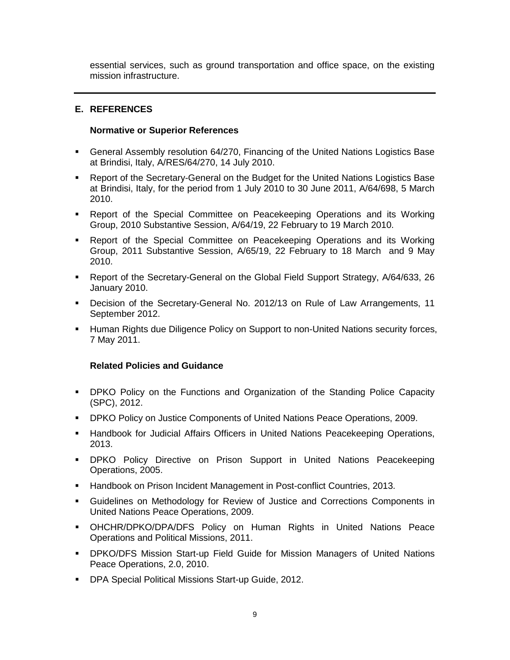essential services, such as ground transportation and office space, on the existing mission infrastructure.

#### **E. REFERENCES**

#### **Normative or Superior References**

- General Assembly resolution 64/270, Financing of the United Nations Logistics Base at Brindisi, Italy, A/RES/64/270, 14 July 2010.
- Report of the Secretary-General on the Budget for the United Nations Logistics Base at Brindisi, Italy, for the period from 1 July 2010 to 30 June 2011, A/64/698, 5 March 2010.
- Report of the Special Committee on Peacekeeping Operations and its Working Group, 2010 Substantive Session, A/64/19, 22 February to 19 March 2010.
- Report of the Special Committee on Peacekeeping Operations and its Working Group, 2011 Substantive Session, A/65/19, 22 February to 18 March and 9 May 2010.
- Report of the Secretary-General on the Global Field Support Strategy, A/64/633, 26 January 2010.
- Decision of the Secretary-General No. 2012/13 on Rule of Law Arrangements, 11 September 2012.
- **Human Rights due Diligence Policy on Support to non-United Nations security forces,** 7 May 2011.

#### **Related Policies and Guidance**

- DPKO Policy on the Functions and Organization of the Standing Police Capacity (SPC), 2012.
- DPKO Policy on Justice Components of United Nations Peace Operations, 2009.
- **Handbook for Judicial Affairs Officers in United Nations Peacekeeping Operations,** 2013.
- **-** DPKO Policy Directive on Prison Support in United Nations Peacekeeping Operations, 2005.
- **Handbook on Prison Incident Management in Post-conflict Countries, 2013.**
- Guidelines on Methodology for Review of Justice and Corrections Components in United Nations Peace Operations, 2009.
- OHCHR/DPKO/DPA/DFS Policy on Human Rights in United Nations Peace Operations and Political Missions, 2011.
- DPKO/DFS Mission Start-up Field Guide for Mission Managers of United Nations Peace Operations, 2.0, 2010.
- **DPA Special Political Missions Start-up Guide, 2012.**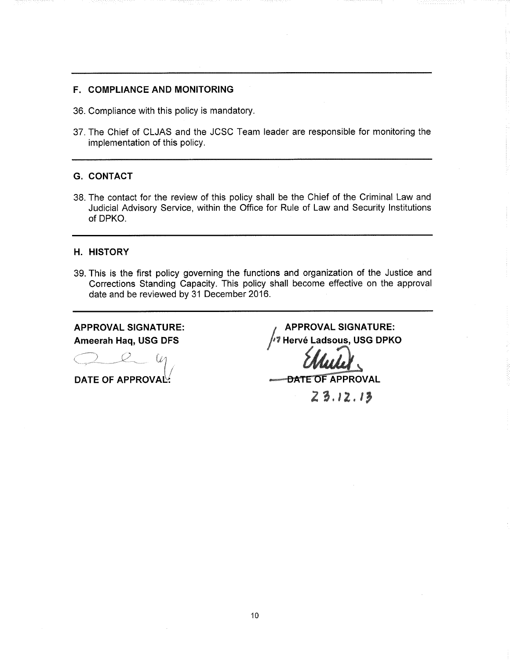#### F. COMPLIANCE AND MONITORING

- 36. Compliance with this policy is mandatory.
- 37. The Chief of CLJAS and the JCSC Team leader are responsible for monitoring the implementation of this policy.

#### G. CONTACT

38. The contact for the review of this policy shall be the Chief of the Criminal Law and Judicial Advisory Service, within the Office for Rule of Law and Security Institutions of DPKO.

#### H. HISTORY

39. This is the first policy governing the functions and organization of the Justice and Corrections Standing Capacity. This policy shall become effective on the approval date and be reviewed by 31 December 2016.

# APPROVAL SIGNATURE:

Ó  $-\omega$ DATE OF APPROVAL!

**APPROVAL SIGNATURE:** Ameerah Haq, USG DFS //7 Hervé Ladsous, USG DPKO

 $23.12.13$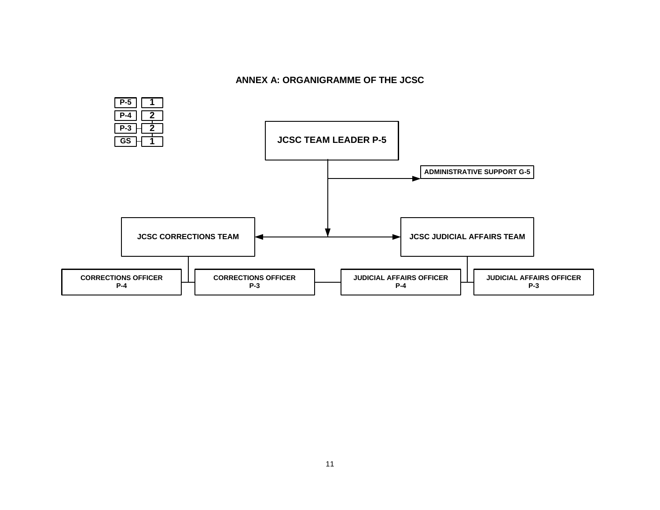#### **ANNEX A: ORGANIGRAMME OF THE JCSC**

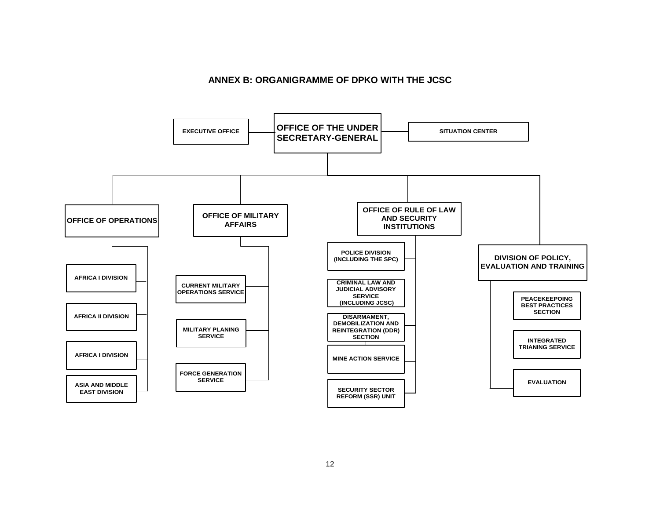#### **ANNEX B: ORGANIGRAMME OF DPKO WITH THE JCSC**